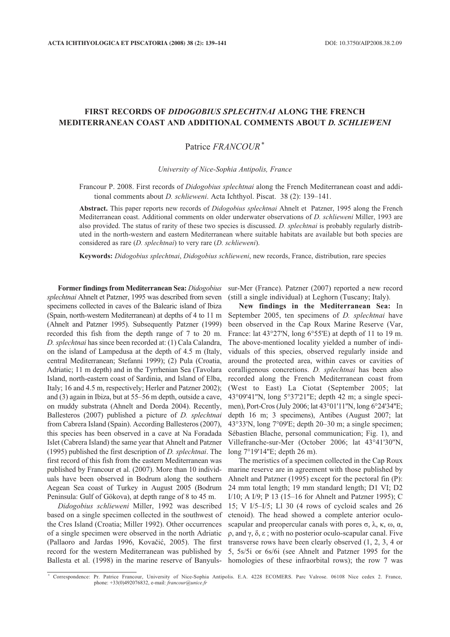## **FIRST RECORDS OF** *DIDOGOBIUS SPLECHTNAI* **ALONG THE FRENCH MEDITERRANEAN COAST AND ADDITIONAL COMMENTS ABOUT** *D. SCHLIEWENI*

## Patrice *FRANCOUR*\*

*University of Nice-Sophia Antipolis, France*

Francour P. 2008. First records of *Didogobius splechtnai* along the French Mediterranean coast and additional comments about *D. schlieweni*. Acta Ichthyol. Piscat. 38 (2): 139–141.

**Abstract.** This paper reports new records of *Didogobius splechtnai* Ahnelt et Patzner, 1995 along the French Mediterranean coast. Additional comments on older underwater observations of *D. schlieweni* Miller, 1993 are also provided. The status of rarity of these two species is discussed. *D. splechtnai* is probably regularly distributed in the north-western and eastern Mediterranean where suitable habitats are available but both species are considered as rare (*D. splechtnai*) to very rare (*D. schlieweni*).

**Keywords:** *Didogobius splechtnai*, *Didogobius schlieweni*, new records, France, distribution, rare species

**Former findingsfrom Mediterranean Sea:** *Didogobius splechtnai* Ahnelt et Patzner, 1995 was described from seven specimens collected in caves of the Balearic island of Ibiza (Spain, north-western Mediterranean) at depths of 4 to 11 m (Ahnelt and Patzner 1995). Subsequently Patzner (1999) recorded this fish from the depth range of 7 to 20 m. *D. splechtnai* has since been recorded at: (1) Cala Calandra, on the island of Lampedusa at the depth of 4.5 m (Italy, central Mediterranean; Stefanni 1999); (2) Pula (Croatia, Adriatic; 11 m depth) and in the Tyrrhenian Sea (Tavolara Island, north-eastern coast of Sardinia, and Island of Elba, Italy; 16 and 4.5 m, respectively; Herler and Patzner 2002); and (3) again in Ibiza, but at 55–56 m depth, outside a cave, on muddy substrata (Ahnelt and Dorda 2004). Recently, Ballesteros (2007) published a picture of *D. splechtnai* from Cabrera Island (Spain). According Ballesteros (2007), this species has been observed in a cave at Na Foradada Islet (Cabrera Island) the same year that Ahnelt and Patzner (1995) published the first description of *D. splechtnai*. The first record of this fish from the eastern Mediterranean was published by Francour et al. (2007). More than 10 individuals have been observed in Bodrum along the southern Aegean Sea coast of Turkey in August 2005 (Bodrum Peninsula: Gulf of Gökova), at depth range of 8 to 45 m.

*Didogobius schlieweni* Miller, 1992 was described based on a single specimen collected in the southwest of the Cres Island (Croatia; Miller 1992). Other occurrences of a single specimen were observed in the north Adriatic (Pallaoro and Jardas 1996, Kovačić, 2005). The first record for the western Mediterranean was published by

sur-Mer (France). Patzner (2007) reported a new record (still a single individual) at Leghorn (Tuscany; Italy).

**New findings in the Mediterranean Sea:** In September 2005, ten specimens of *D. splechtnai* have been observed in the Cap Roux Marine Reserve (Var, France: lat 43°27'N, long 6°55'E) at depth of 11 to 19 m. The above-mentioned locality yielded a number of individuals of this species, observed regularly inside and around the protected area, within caves or cavities of coralligenous concretions. *D. splechtnai* has been also recorded along the French Mediterranean coast from (West to East) La Ciotat (September 2005; lat 43°09'41''N, long 5°37'21''E; depth 42 m; a single specimen), Port-Cros (July 2006; lat 43°01'11"N, long 6°24'34"E; depth 16 m; 3 specimens), Antibes (August 2007; lat 43°33'N, long 7°09'E; depth 20–30 m; a single specimen; Sébastien Blache, personal communication; Fig. 1), and Villefranche-sur-Mer (October 2006; lat 43°41'30''N, long 7°19'14''E; depth 26 m).

Ballesta et al. (1998) in the marine reserve of Banyuls-homologies of these infraorbital rows); the row 7 was The meristics of a specimen collected in the Cap Roux marine reserve are in agreement with those published by Ahnelt and Patzner (1995) except for the pectoral fin (P): 24 mm total length; 19 mm standard length; D1 VI; D2 I/10; A I/9; P 13 (15–16 for Ahnelt and Patzner 1995); C 15; V I/5–I/5; Ll 30 (4 rows of cycloid scales and 26 ctenoid). The head showed a complete anterior oculoscapular and preopercular canals with pores  $\sigma$ , λ, κ, ω, α, ρ, and γ, δ, ε ; with no posterior oculo-scapular canal. Five transverse rows have been clearly observed (1, 2, 3, 4 or 5, 5s/5i or 6s/6i (see Ahnelt and Patzner 1995 for the

<sup>\*</sup> Correspondence: Pr. Patrice Francour, University of Nice-Sophia Antipolis. E.A. 4228 ECOMERS. Parc Valrose. 06108 Nice cedex 2. France, phone: +33(0)492076832, e-mail: *francour@unice.fr*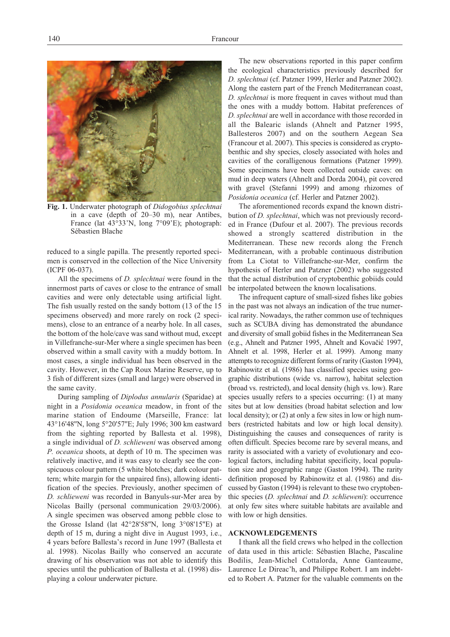

**Fig. 1.** Underwater photograph of *Didogobius splechtnai* in a cave (depth of 20–30 m), near Antibes, France (lat 43°33'N, long 7°09'E); photograph: Sébastien Blache

reduced to a single papilla. The presently reported specimen is conserved in the collection of the Nice University (ICPF 06-037).

All the specimens of *D. splechtnai* were found in the innermost parts of caves or close to the entrance of small cavities and were only detectable using artificial light. The fish usually rested on the sandy bottom (13 of the 15 specimens observed) and more rarely on rock (2 specimens), close to an entrance of a nearby hole. In all cases, the bottom of the hole/cave was sand without mud, except in Villefranche-sur-Mer where a single specimen has been observed within a small cavity with a muddy bottom. In most cases, a single individual has been observed in the cavity. However, in the Cap Roux Marine Reserve, up to 3 fish of different sizes (small and large) were observed in the same cavity.

During sampling of *Diplodus annularis* (Sparidae) at night in a *Posidonia oceanica* meadow, in front of the marine station of Endoume (Marseille, France: lat 43°16'48''N, long 5°20'57''E; July 1996; 300 km eastward from the sighting reported by Ballesta et al. 1998), a single individual of *D. schlieweni* was observed among *P. oceanica* shoots, at depth of 10 m. The specimen was relatively inactive, and it was easy to clearly see the conspicuous colour pattern (5 white blotches; dark colour pattern; white margin for the unpaired fins), allowing identification of the species. Previously, another specimen of *D. schlieweni* was recorded in Banyuls-sur-Mer area by Nicolas Bailly (personal communication 29/03/2006). A single specimen was observed among pebble close to the Grosse Island (lat 42°28'58''N, long 3°08'15''E) at depth of 15 m, during a night dive in August 1993, i.e., 4 years before Ballesta's record in June 1997 (Ballesta et al. 1998). Nicolas Bailly who conserved an accurate drawing of his observation was not able to identify this species until the publication of Ballesta et al. (1998) displaying a colour underwater picture.

The new observations reported in this paper confirm the ecological characteristics previously described for *D. splechtnai* (cf. Patzner 1999, Herler and Patzner 2002). Along the eastern part of the French Mediterranean coast, *D. splechtnai* is more frequent in caves without mud than the ones with a muddy bottom. Habitat preferences of *D. splechtnai* are well in accordance with those recorded in all the Balearic islands (Ahnelt and Patzner 1995, Ballesteros 2007) and on the southern Aegean Sea (Francour et al. 2007). This species is considered as cryptobenthic and shy species, closely associated with holes and cavities of the coralligenous formations (Patzner 1999). Some specimens have been collected outside caves: on mud in deep waters (Ahnelt and Dorda 2004), pit covered with gravel (Stefanni 1999) and among rhizomes of *Posidonia oceanica* (cf. Herler and Patzner 2002).

The aforementioned records expand the known distribution of *D. splechtnai*, which was not previously recorded in France (Dufour et al. 2007). The previous records showed a strongly scattered distribution in the Mediterranean. These new records along the French Mediterranean, with a probable continuous distribution from La Ciotat to Villefranche-sur-Mer, confirm the hypothesis of Herler and Patzner (2002) who suggested that the actual distribution of cryptobenthic gobiids could be interpolated between the known localisations.

The infrequent capture of small-sized fishes like gobies in the past was not always an indication of the true numerical rarity. Nowadays, the rather common use of techniques such as SCUBA diving has demonstrated the abundance and diversity of small gobiid fishes in the Mediterranean Sea (e.g., Ahnelt and Patzner 1995, Ahnelt and Kovačić 1997, Ahnelt et al. 1998, Herler et al. 1999). Among many attempts to recognize different forms of rarity (Gaston 1994). Rabinowitz et al*.* (1986) has classified species using geographic distributions (wide vs. narrow), habitat selection (broad vs. restricted), and local density (high vs. low). Rare species usually refers to a species occurring: (1) at many sites but at low densities (broad habitat selection and low local density); or  $(2)$  at only a few sites in low or high numbers (restricted habitats and low or high local density). Distinguishing the causes and consequences of rarity is often difficult. Species become rare by several means, and rarity is associated with a variety of evolutionary and ecological factors, including habitat specificity, local population size and geographic range (Gaston 1994). The rarity definition proposed by Rabinowitz et al. (1986) and discussed by Gaston (1994) is relevant to these two cryptobenthic species (*D. splechtnai* and *D. schlieweni*): occurrence at only few sites where suitable habitats are available and with low or high densities.

## **ACKNOWLEDGEMENTS**

I thank all the field crews who helped in the collection of data used in this article: Sébastien Blache, Pascaline Bodilis, Jean-Michel Cottalorda, Anne Ganteaume, Laurence Le Direac'h, and Philippe Robert. I am indebted to Robert A. Patzner for the valuable comments on the